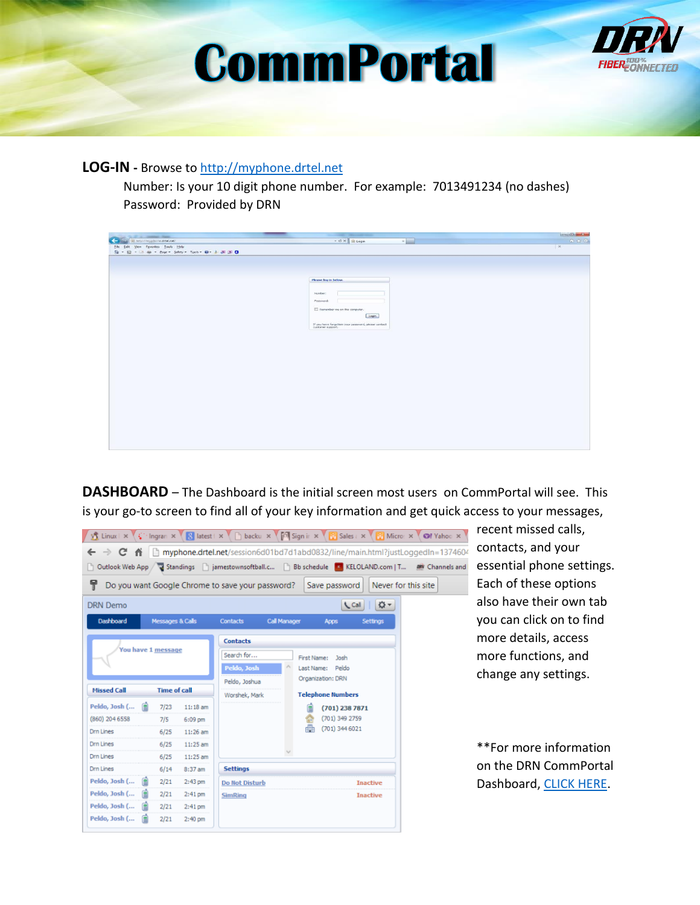



## **LOG-IN -** Browse to [http://myphone.drtel.net](http://myphone.drtel.net/)

Number: Is your 10 digit phone number. For example: 7013491234 (no dashes) Password: Provided by DRN

| (Call (E2) tal http://myphone.drtel.net/<br>Eile Edit View Favorites Tools Help<br>@ ▼ 图 ▼ □ 册 ▼ Bage ▼ Safety ▼ Tgois ▼ @ ▼   2 图 图 | - C X Login<br>$\mathbf{x}$                                              | n * 0        |
|--------------------------------------------------------------------------------------------------------------------------------------|--------------------------------------------------------------------------|--------------|
|                                                                                                                                      |                                                                          | $\mathbb{R}$ |
|                                                                                                                                      |                                                                          |              |
|                                                                                                                                      |                                                                          |              |
|                                                                                                                                      |                                                                          |              |
|                                                                                                                                      |                                                                          |              |
|                                                                                                                                      | Please log in below.                                                     |              |
|                                                                                                                                      |                                                                          |              |
|                                                                                                                                      | Number:                                                                  |              |
|                                                                                                                                      | Password                                                                 |              |
|                                                                                                                                      |                                                                          |              |
|                                                                                                                                      | El Remember me on this computer.                                         |              |
|                                                                                                                                      | Logn                                                                     |              |
|                                                                                                                                      | If you have forgotten your password, please contact<br>customer support. |              |
|                                                                                                                                      |                                                                          |              |
|                                                                                                                                      |                                                                          |              |
|                                                                                                                                      |                                                                          |              |
|                                                                                                                                      |                                                                          |              |
|                                                                                                                                      |                                                                          |              |
|                                                                                                                                      |                                                                          |              |
|                                                                                                                                      |                                                                          |              |
|                                                                                                                                      |                                                                          |              |
|                                                                                                                                      |                                                                          |              |
|                                                                                                                                      |                                                                          |              |
|                                                                                                                                      |                                                                          |              |
|                                                                                                                                      |                                                                          |              |
|                                                                                                                                      |                                                                          |              |
|                                                                                                                                      |                                                                          |              |
|                                                                                                                                      |                                                                          |              |
|                                                                                                                                      |                                                                          |              |
|                                                                                                                                      |                                                                          |              |
|                                                                                                                                      |                                                                          |              |
|                                                                                                                                      |                                                                          |              |
|                                                                                                                                      |                                                                          |              |
|                                                                                                                                      |                                                                          |              |

**DASHBOARD** – The Dashboard is the initial screen most users on CommPortal will see. This is your go-to screen to find all of your key information and get quick access to your messages,



recent missed calls, contacts, and your essential phone settings. Each of these options also have their own tab you can click on to find more details, access more functions, and change any settings.

\*\*For more information on the DRN CommPortal Dashboard[, CLICK HERE.](http://www.youtube.com/watch?v=Vjxu4XUV-SU)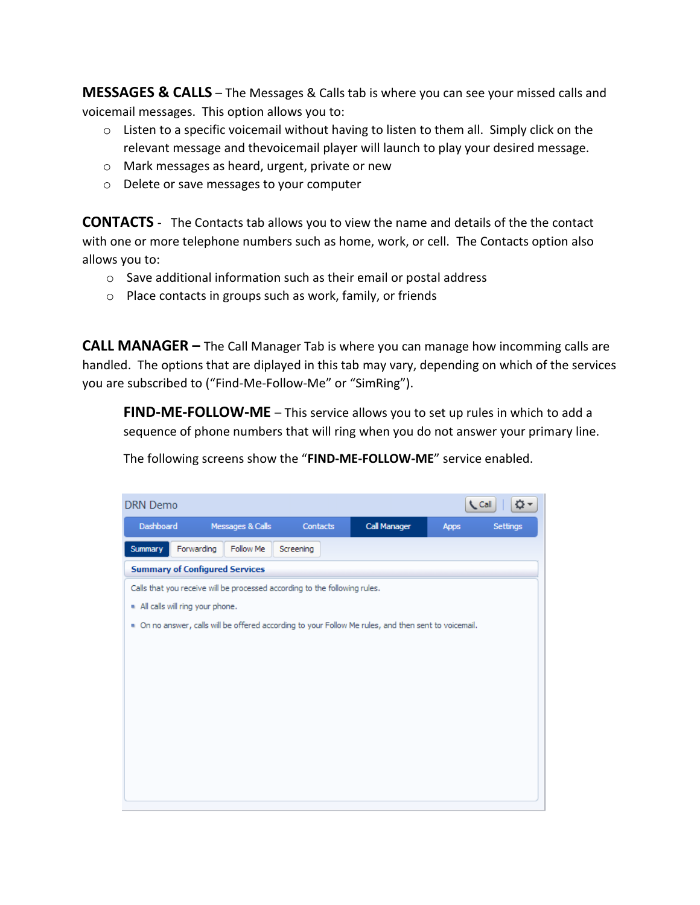**MESSAGES & CALLS** – The Messages & Calls tab is where you can see your missed calls and voicemail messages. This option allows you to:

- $\circ$  Listen to a specific voicemail without having to listen to them all. Simply click on the relevant message and thevoicemail player will launch to play your desired message.
- o Mark messages as heard, urgent, private or new
- o Delete or save messages to your computer

**CONTACTS** - The Contacts tab allows you to view the name and details of the the contact with one or more telephone numbers such as home, work, or cell. The Contacts option also allows you to:

- o Save additional information such as their email or postal address
- o Place contacts in groups such as work, family, or friends

**CALL MANAGER –** The Call Manager Tab is where you can manage how incomming calls are handled. The options that are diplayed in this tab may vary, depending on which of the services you are subscribed to ("Find-Me-Follow-Me" or "SimRing").

**FIND-ME-FOLLOW-ME** – This service allows you to set up rules in which to add a sequence of phone numbers that will ring when you do not answer your primary line.

The following screens show the "**FIND-ME-FOLLOW-ME**" service enabled.

| <b>DRN</b> Demo                 |                                                                                                      |                 |                     | <b>Call</b> | ٠               |
|---------------------------------|------------------------------------------------------------------------------------------------------|-----------------|---------------------|-------------|-----------------|
| <b>Dashboard</b>                | Messages & Calls                                                                                     | <b>Contacts</b> | <b>Call Manager</b> | Apps        | <b>Settings</b> |
| Summary                         | Forwarding<br>Follow Me                                                                              | Screening       |                     |             |                 |
|                                 | <b>Summary of Configured Services</b>                                                                |                 |                     |             |                 |
|                                 | Calls that you receive will be processed according to the following rules.                           |                 |                     |             |                 |
| All calls will ring your phone. |                                                                                                      |                 |                     |             |                 |
|                                 | . On no answer, calls will be offered according to your Follow Me rules, and then sent to voicemail. |                 |                     |             |                 |
|                                 |                                                                                                      |                 |                     |             |                 |
|                                 |                                                                                                      |                 |                     |             |                 |
|                                 |                                                                                                      |                 |                     |             |                 |
|                                 |                                                                                                      |                 |                     |             |                 |
|                                 |                                                                                                      |                 |                     |             |                 |
|                                 |                                                                                                      |                 |                     |             |                 |
|                                 |                                                                                                      |                 |                     |             |                 |
|                                 |                                                                                                      |                 |                     |             |                 |
|                                 |                                                                                                      |                 |                     |             |                 |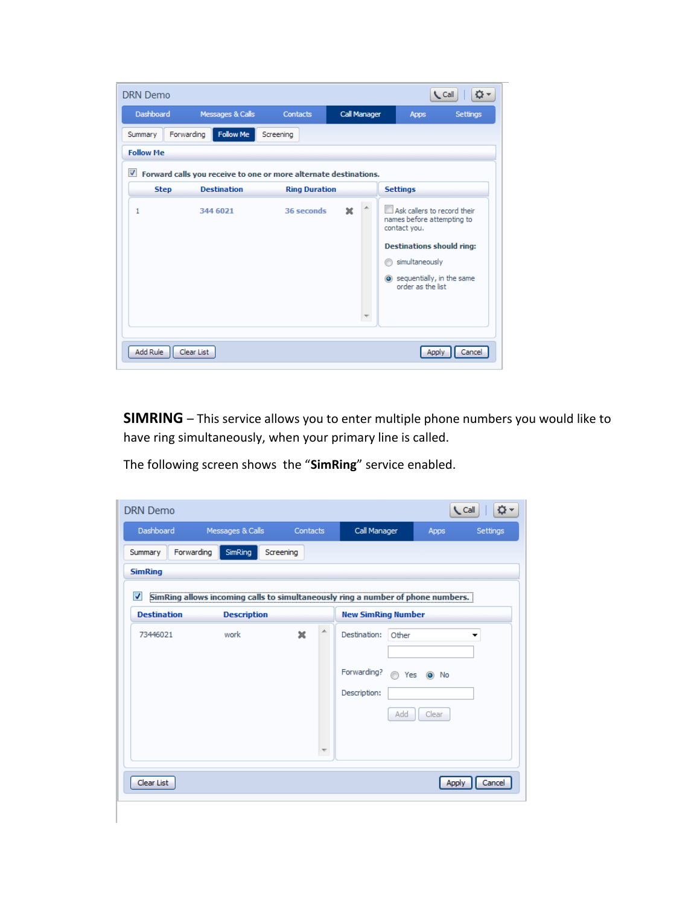| <b>DRN</b> Demo  |                                                                  |                      |              |                     | <b>Call</b>                                                                                                                                                                       | ٥.              |
|------------------|------------------------------------------------------------------|----------------------|--------------|---------------------|-----------------------------------------------------------------------------------------------------------------------------------------------------------------------------------|-----------------|
| <b>Dashboard</b> | Messages & Calls                                                 | <b>Contacts</b>      |              | <b>Call Manager</b> | <b>Apps</b>                                                                                                                                                                       | <b>Settings</b> |
| Summary          | <b>Follow Me</b><br>Forwarding                                   | Screening            |              |                     |                                                                                                                                                                                   |                 |
| <b>Follow Me</b> |                                                                  |                      |              |                     |                                                                                                                                                                                   |                 |
| ⊽                | Forward calls you receive to one or more alternate destinations. |                      |              |                     |                                                                                                                                                                                   |                 |
| <b>Step</b>      | <b>Destination</b>                                               | <b>Ring Duration</b> |              |                     | <b>Settings</b>                                                                                                                                                                   |                 |
| 1                | 344 6021                                                         | 36 seconds           | $\mathbf{x}$ | $\overline{\nabla}$ | Ask callers to record their<br>names before attempting to<br>contact you.<br><b>Destinations should ring:</b><br>simultaneously<br>sequentially, in the same<br>order as the list |                 |
| Add Rule         | Clear List                                                       |                      |              |                     | Apply                                                                                                                                                                             | Cancel          |

**SIMRING** – This service allows you to enter multiple phone numbers you would like to have ring simultaneously, when your primary line is called.

 $\boxed{\mathsf{Call}}$ **DRN** Demo |☆-Dashboard Contacts Messages & Calls Call Manager Apps Settings Summary Forwarding SimRing Screening **SimRing 7** SimRing allows incoming calls to simultaneously ring a number of phone numbers. **Destination Description New SimRing Number** 73446021 work  $\pmb{\times}$  $\blacktriangle$ Destination: Other  $\blacktriangledown$ Forwarding? Yes <sup>O</sup> No Description:  $\begin{bmatrix} Add \end{bmatrix}$  Clear Clear List Apply Cancel

The following screen shows the "**SimRing**" service enabled.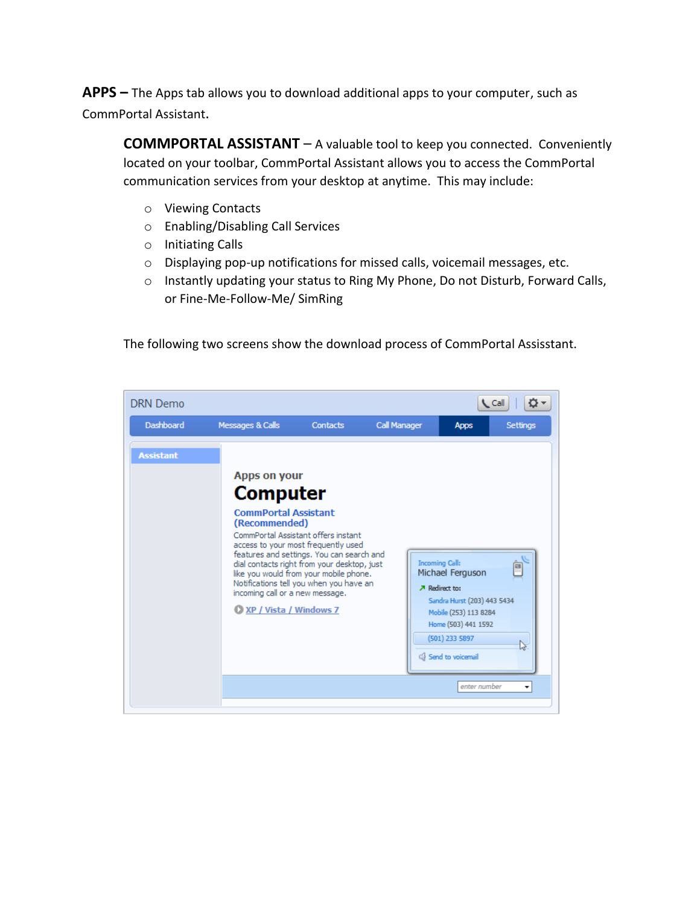**APPS –** The Apps tab allows you to download additional apps to your computer, such as CommPortal Assistant.

**COMMPORTAL ASSISTANT** – A valuable tool to keep you connected. Conveniently located on your toolbar, CommPortal Assistant allows you to access the CommPortal communication services from your desktop at anytime. This may include:

- o Viewing Contacts
- o Enabling/Disabling Call Services
- o Initiating Calls
- o Displaying pop-up notifications for missed calls, voicemail messages, etc.
- o Instantly updating your status to Ring My Phone, Do not Disturb, Forward Calls, or Fine-Me-Follow-Me/ SimRing

The following two screens show the download process of CommPortal Assisstant.

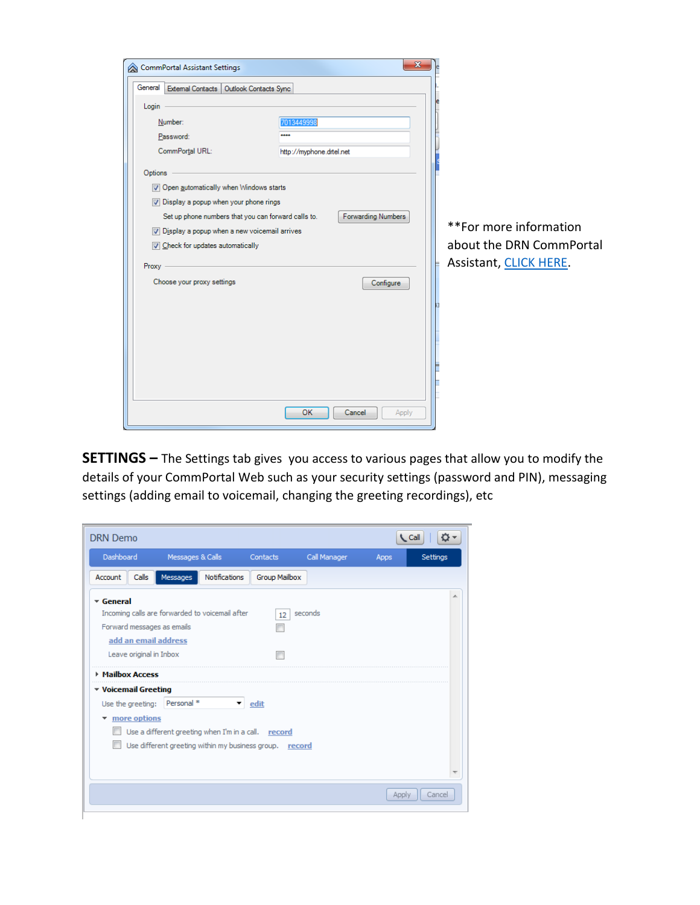| CommPortal Assistant Settings                        |                           | $\mathbf{x}$             |
|------------------------------------------------------|---------------------------|--------------------------|
| General<br>External Contacts   Outlook Contacts Sync |                           |                          |
| Login                                                |                           |                          |
| Number:                                              | 7013449998                |                          |
| Password:                                            |                           |                          |
| CommPortal URL:                                      | http://myphone.drtel.net  |                          |
| Options                                              |                           |                          |
| Open automatically when Windows starts               |                           |                          |
| Display a popup when your phone rings                |                           |                          |
| Set up phone numbers that you can forward calls to.  | <b>Forwarding Numbers</b> |                          |
| Display a popup when a new voicemail arrives         |                           | **For more information   |
| Check for updates automatically                      |                           | about the DRN CommPortal |
| Proxy                                                |                           | Assistant, CLICK HERE.   |
| Choose your proxy settings                           | Configure                 |                          |
|                                                      |                           |                          |
|                                                      |                           |                          |
|                                                      |                           |                          |
|                                                      |                           |                          |
|                                                      |                           |                          |
|                                                      |                           |                          |
|                                                      |                           |                          |
|                                                      |                           |                          |
|                                                      | OK<br>Cancel<br>Apply     |                          |

**SETTINGS –** The Settings tab gives you access to various pages that allow you to modify the details of your CommPortal Web such as your security settings (password and PIN), messaging settings (adding email to voicemail, changing the greeting recordings), etc

| <b>DRN</b> Demo                                                                                                   |                                                                                                                |               |              |       | <b>Call</b> |
|-------------------------------------------------------------------------------------------------------------------|----------------------------------------------------------------------------------------------------------------|---------------|--------------|-------|-------------|
| Dashboard                                                                                                         | Messages & Calls                                                                                               | Contacts      | Call Manager | Apps  | Settings    |
| Calls<br>Account                                                                                                  | Messages<br>Notifications                                                                                      | Group Mailbox |              |       |             |
| $\overline{\phantom{a}}$ General<br>Forward messages as emails<br>add an email address<br>Leave original in Inbox | Incoming calls are forwarded to voicemail after                                                                | 12            | seconds      |       |             |
| ▶ Mailbox Access<br>▼ Voicemail Greeting                                                                          |                                                                                                                |               |              |       |             |
| Use the greeting: Personal *<br>$\blacksquare$ more options                                                       | Use a different greeting when I'm in a call. record<br>Use different greeting within my business group. record | edit<br>▼     |              |       |             |
|                                                                                                                   |                                                                                                                |               |              | Apply | Cancel      |